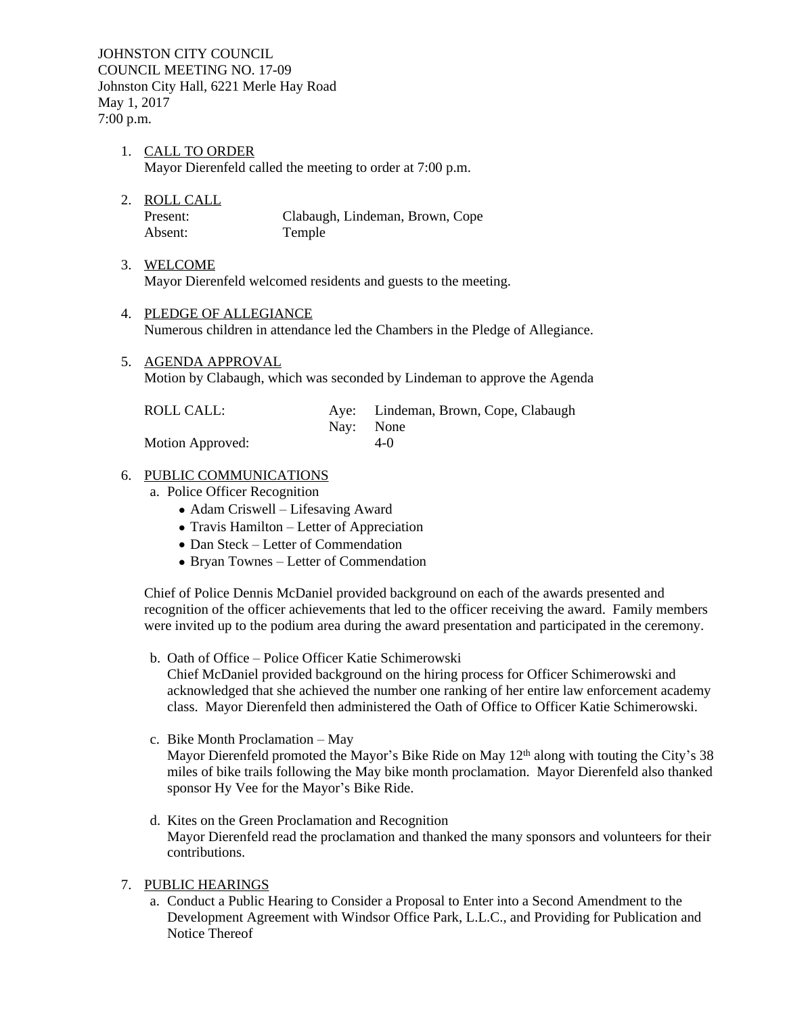JOHNSTON CITY COUNCIL COUNCIL MEETING NO. 17-09 Johnston City Hall, 6221 Merle Hay Road May 1, 2017 7:00 p.m.

- 1. CALL TO ORDER Mayor Dierenfeld called the meeting to order at 7:00 p.m.
- 2. ROLL CALL

Present: Clabaugh, Lindeman, Brown, Cope Absent: Temple

- 3. WELCOME Mayor Dierenfeld welcomed residents and guests to the meeting.
- 4. PLEDGE OF ALLEGIANCE Numerous children in attendance led the Chambers in the Pledge of Allegiance.
- 5. AGENDA APPROVAL

Motion by Clabaugh, which was seconded by Lindeman to approve the Agenda

| ROLL CALL:       |           | Aye: Lindeman, Brown, Cope, Clabaugh |
|------------------|-----------|--------------------------------------|
|                  | Nav: None |                                      |
| Motion Approved: |           | $4-0$                                |

#### 6. PUBLIC COMMUNICATIONS

- a. Police Officer Recognition
	- Adam Criswell Lifesaving Award
	- Travis Hamilton Letter of Appreciation
	- Dan Steck Letter of Commendation
	- Bryan Townes Letter of Commendation

Chief of Police Dennis McDaniel provided background on each of the awards presented and recognition of the officer achievements that led to the officer receiving the award. Family members were invited up to the podium area during the award presentation and participated in the ceremony.

- b. Oath of Office Police Officer Katie Schimerowski Chief McDaniel provided background on the hiring process for Officer Schimerowski and acknowledged that she achieved the number one ranking of her entire law enforcement academy class. Mayor Dierenfeld then administered the Oath of Office to Officer Katie Schimerowski.
- c. Bike Month Proclamation May Mayor Dierenfeld promoted the Mayor's Bike Ride on May  $12<sup>th</sup>$  along with touting the City's 38 miles of bike trails following the May bike month proclamation. Mayor Dierenfeld also thanked sponsor Hy Vee for the Mayor's Bike Ride.
- d. Kites on the Green Proclamation and Recognition Mayor Dierenfeld read the proclamation and thanked the many sponsors and volunteers for their contributions.
- 7. PUBLIC HEARINGS
	- a. Conduct a Public Hearing to Consider a Proposal to Enter into a Second Amendment to the Development Agreement with Windsor Office Park, L.L.C., and Providing for Publication and Notice Thereof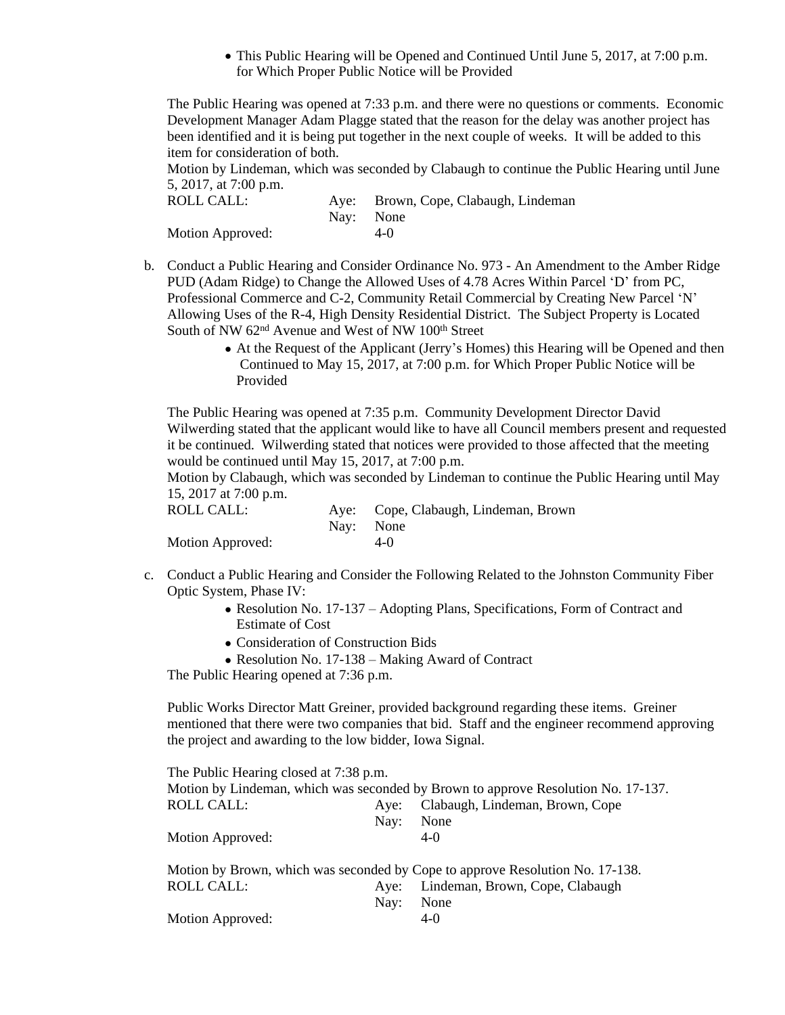This Public Hearing will be Opened and Continued Until June 5, 2017, at 7:00 p.m. for Which Proper Public Notice will be Provided

The Public Hearing was opened at 7:33 p.m. and there were no questions or comments. Economic Development Manager Adam Plagge stated that the reason for the delay was another project has been identified and it is being put together in the next couple of weeks. It will be added to this item for consideration of both.

Motion by Lindeman, which was seconded by Clabaugh to continue the Public Hearing until June 5, 2017, at 7:00 p.m.

| ROLL CALL:       | Aye: Brown, Cope, Clabaugh, Lindeman |
|------------------|--------------------------------------|
|                  | Nav: None                            |
| Motion Approved: | $4-0$                                |

- b. Conduct a Public Hearing and Consider Ordinance No. 973 An Amendment to the Amber Ridge PUD (Adam Ridge) to Change the Allowed Uses of 4.78 Acres Within Parcel 'D' from PC, Professional Commerce and C-2, Community Retail Commercial by Creating New Parcel 'N' Allowing Uses of the R-4, High Density Residential District. The Subject Property is Located South of NW 62<sup>nd</sup> Avenue and West of NW 100<sup>th</sup> Street
	- At the Request of the Applicant (Jerry's Homes) this Hearing will be Opened and then Continued to May 15, 2017, at 7:00 p.m. for Which Proper Public Notice will be Provided

The Public Hearing was opened at 7:35 p.m. Community Development Director David Wilwerding stated that the applicant would like to have all Council members present and requested it be continued. Wilwerding stated that notices were provided to those affected that the meeting would be continued until May 15, 2017, at 7:00 p.m.

Motion by Clabaugh, which was seconded by Lindeman to continue the Public Hearing until May 15, 2017 at 7:00 p.m.

| ROLL CALL:       | Aye: Cope, Clabaugh, Lindeman, Brown |
|------------------|--------------------------------------|
|                  | Nav: None                            |
| Motion Approved: | $4-0$                                |

- c. Conduct a Public Hearing and Consider the Following Related to the Johnston Community Fiber Optic System, Phase IV:
	- Resolution No. 17-137 Adopting Plans, Specifications, Form of Contract and Estimate of Cost
	- Consideration of Construction Bids
	- Resolution No. 17-138 Making Award of Contract

The Public Hearing opened at 7:36 p.m.

Public Works Director Matt Greiner, provided background regarding these items. Greiner mentioned that there were two companies that bid. Staff and the engineer recommend approving the project and awarding to the low bidder, Iowa Signal.

The Public Hearing closed at 7:38 p.m. Motion by Lindeman, which was seconded by Brown to approve Resolution No. 17-137. ROLL CALL: Aye: Clabaugh, Lindeman, Brown, Cope Nay: None Motion Approved: 4-0 Motion by Brown, which was seconded by Cope to approve Resolution No. 17-138. ROLL CALL: Aye: Lindeman, Brown, Cope, Clabaugh Nay: None Motion Approved: 4-0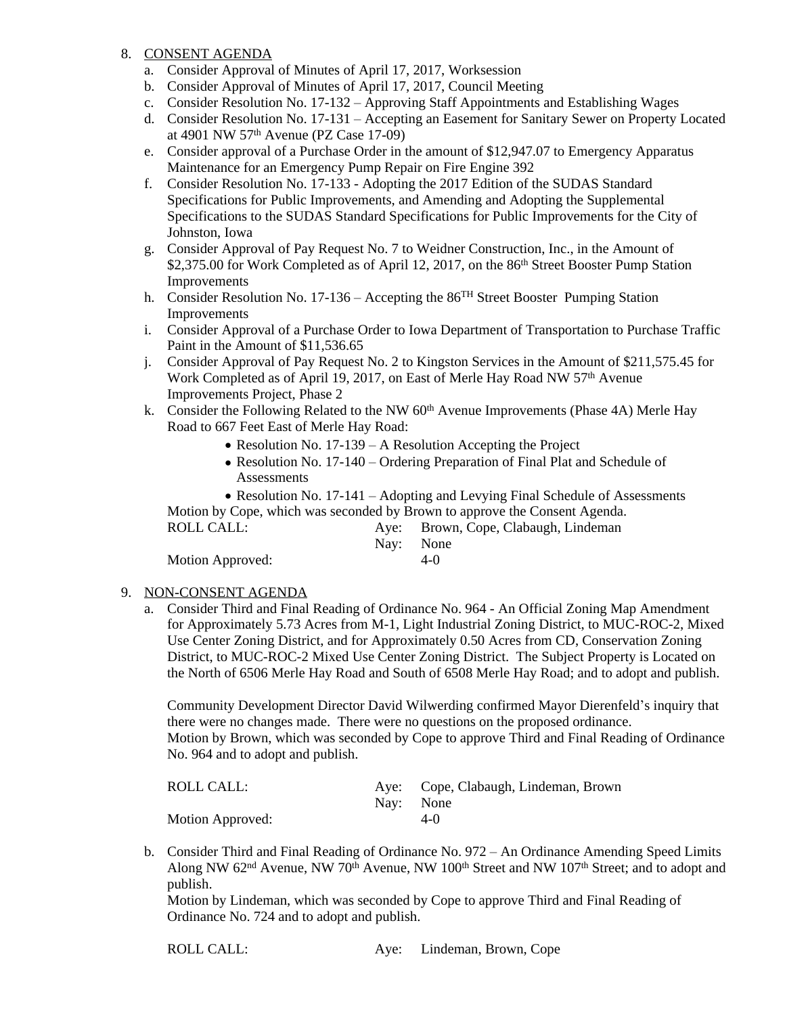## 8. CONSENT AGENDA

- a. Consider Approval of Minutes of April 17, 2017, Worksession
- b. Consider Approval of Minutes of April 17, 2017, Council Meeting
- c. Consider Resolution No. 17-132 Approving Staff Appointments and Establishing Wages
- d. Consider Resolution No. 17-131 Accepting an Easement for Sanitary Sewer on Property Located at 4901 NW 57th Avenue (PZ Case 17-09)
- e. Consider approval of a Purchase Order in the amount of \$12,947.07 to Emergency Apparatus Maintenance for an Emergency Pump Repair on Fire Engine 392
- f. Consider Resolution No. 17-133 Adopting the 2017 Edition of the SUDAS Standard Specifications for Public Improvements, and Amending and Adopting the Supplemental Specifications to the SUDAS Standard Specifications for Public Improvements for the City of Johnston, Iowa
- g. Consider Approval of Pay Request No. 7 to Weidner Construction, Inc., in the Amount of \$2,375.00 for Work Completed as of April 12, 2017, on the 86<sup>th</sup> Street Booster Pump Station Improvements
- h. Consider Resolution No. 17-136 Accepting the 86<sup>TH</sup> Street Booster Pumping Station Improvements
- i. Consider Approval of a Purchase Order to Iowa Department of Transportation to Purchase Traffic Paint in the Amount of \$11,536.65
- j. Consider Approval of Pay Request No. 2 to Kingston Services in the Amount of \$211,575.45 for Work Completed as of April 19, 2017, on East of Merle Hay Road NW 57<sup>th</sup> Avenue Improvements Project, Phase 2
- k. Consider the Following Related to the NW  $60<sup>th</sup>$  Avenue Improvements (Phase 4A) Merle Hay Road to 667 Feet East of Merle Hay Road:
	- Resolution No. 17-139 A Resolution Accepting the Project
	- Resolution No. 17-140 Ordering Preparation of Final Plat and Schedule of **Assessments**

• Resolution No. 17-141 – Adopting and Levying Final Schedule of Assessments Motion by Cope, which was seconded by Brown to approve the Consent Agenda.

| ROLL CALL:       |           | Aye: Brown, Cope, Clabaugh, Lindeman |
|------------------|-----------|--------------------------------------|
|                  | Nav: None |                                      |
| Motion Approved: |           | $4-()$                               |

## 9. NON-CONSENT AGENDA

a. Consider Third and Final Reading of Ordinance No. 964 - An Official Zoning Map Amendment for Approximately 5.73 Acres from M-1, Light Industrial Zoning District, to MUC-ROC-2, Mixed Use Center Zoning District, and for Approximately 0.50 Acres from CD, Conservation Zoning District, to MUC-ROC-2 Mixed Use Center Zoning District. The Subject Property is Located on the North of 6506 Merle Hay Road and South of 6508 Merle Hay Road; and to adopt and publish.

Community Development Director David Wilwerding confirmed Mayor Dierenfeld's inquiry that there were no changes made. There were no questions on the proposed ordinance. Motion by Brown, which was seconded by Cope to approve Third and Final Reading of Ordinance No. 964 and to adopt and publish.

| ROLL CALL:       | Nav: None | Aye: Cope, Clabaugh, Lindeman, Brown |
|------------------|-----------|--------------------------------------|
| Motion Approved: |           | $4-(1)$                              |

b. Consider Third and Final Reading of Ordinance No. 972 – An Ordinance Amending Speed Limits Along NW 62<sup>nd</sup> Avenue, NW 70<sup>th</sup> Avenue, NW 100<sup>th</sup> Street and NW 107<sup>th</sup> Street; and to adopt and publish.

Motion by Lindeman, which was seconded by Cope to approve Third and Final Reading of Ordinance No. 724 and to adopt and publish.